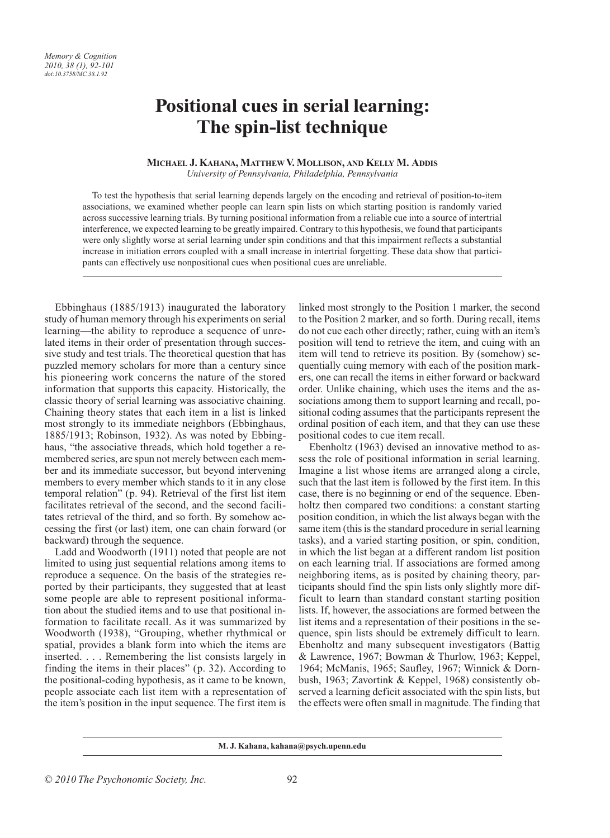# **Positional cues in serial learning: The spin-list technique**

# **Michael J. Kahana, Matthew V. Mollison, and Kelly M. Addis** *University of Pennsylvania, Philadelphia, Pennsylvania*

To test the hypothesis that serial learning depends largely on the encoding and retrieval of position-to-item associations, we examined whether people can learn spin lists on which starting position is randomly varied across successive learning trials. By turning positional information from a reliable cue into a source of intertrial interference, we expected learning to be greatly impaired. Contrary to this hypothesis, we found that participants were only slightly worse at serial learning under spin conditions and that this impairment reflects a substantial increase in initiation errors coupled with a small increase in intertrial forgetting. These data show that participants can effectively use nonpositional cues when positional cues are unreliable.

Ebbinghaus (1885/1913) inaugurated the laboratory study of human memory through his experiments on serial learning—the ability to reproduce a sequence of unrelated items in their order of presentation through successive study and test trials. The theoretical question that has puzzled memory scholars for more than a century since his pioneering work concerns the nature of the stored information that supports this capacity. Historically, the classic theory of serial learning was associative chaining. Chaining theory states that each item in a list is linked most strongly to its immediate neighbors (Ebbinghaus, 1885/1913; Robinson, 1932). As was noted by Ebbinghaus, "the associative threads, which hold together a remembered series, are spun not merely between each member and its immediate successor, but beyond intervening members to every member which stands to it in any close temporal relation" (p. 94). Retrieval of the first list item facilitates retrieval of the second, and the second facilitates retrieval of the third, and so forth. By somehow accessing the first (or last) item, one can chain forward (or backward) through the sequence.

Ladd and Woodworth (1911) noted that people are not limited to using just sequential relations among items to reproduce a sequence. On the basis of the strategies reported by their participants, they suggested that at least some people are able to represent positional information about the studied items and to use that positional information to facilitate recall. As it was summarized by Woodworth (1938), "Grouping, whether rhythmical or spatial, provides a blank form into which the items are inserted. . . . Remembering the list consists largely in finding the items in their places" (p. 32). According to the positional-coding hypothesis, as it came to be known, people associate each list item with a representation of the item's position in the input sequence. The first item is

linked most strongly to the Position 1 marker, the second to the Position 2 marker, and so forth. During recall, items do not cue each other directly; rather, cuing with an item's position will tend to retrieve the item, and cuing with an item will tend to retrieve its position. By (somehow) sequentially cuing memory with each of the position markers, one can recall the items in either forward or backward order. Unlike chaining, which uses the items and the associations among them to support learning and recall, positional coding assumes that the participants represent the ordinal position of each item, and that they can use these positional codes to cue item recall.

Ebenholtz (1963) devised an innovative method to assess the role of positional information in serial learning. Imagine a list whose items are arranged along a circle, such that the last item is followed by the first item. In this case, there is no beginning or end of the sequence. Ebenholtz then compared two conditions: a constant starting position condition, in which the list always began with the same item (this is the standard procedure in serial learning tasks), and a varied starting position, or spin, condition, in which the list began at a different random list position on each learning trial. If associations are formed among neighboring items, as is posited by chaining theory, participants should find the spin lists only slightly more difficult to learn than standard constant starting position lists. If, however, the associations are formed between the list items and a representation of their positions in the sequence, spin lists should be extremely difficult to learn. Ebenholtz and many subsequent investigators (Battig & Lawrence, 1967; Bowman & Thurlow, 1963; Keppel, 1964; McManis, 1965; Saufley, 1967; Winnick & Dornbush, 1963; Zavortink & Keppel, 1968) consistently observed a learning deficit associated with the spin lists, but the effects were often small in magnitude. The finding that

**M. J. Kahana, kahana@psych.upenn.edu**

© *2010 The Psychonomic Society, Inc.* 92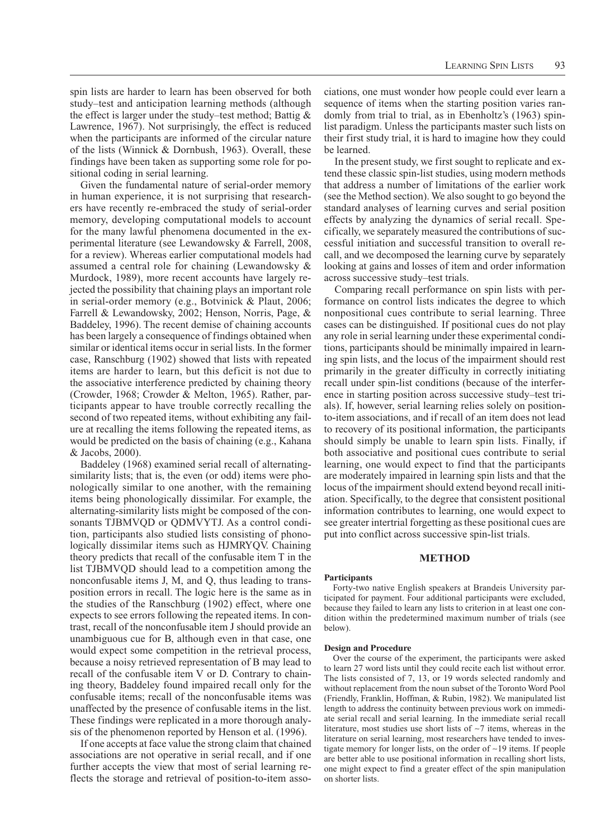spin lists are harder to learn has been observed for both study–test and anticipation learning methods (although the effect is larger under the study–test method; Battig & Lawrence, 1967). Not surprisingly, the effect is reduced when the participants are informed of the circular nature of the lists (Winnick & Dornbush, 1963). Overall, these findings have been taken as supporting some role for positional coding in serial learning.

Given the fundamental nature of serial-order memory in human experience, it is not surprising that researchers have recently re-embraced the study of serial-order memory, developing computational models to account for the many lawful phenomena documented in the experimental literature (see Lewandowsky & Farrell, 2008, for a review). Whereas earlier computational models had assumed a central role for chaining (Lewandowsky & Murdock, 1989), more recent accounts have largely rejected the possibility that chaining plays an important role in serial-order memory (e.g., Botvinick & Plaut, 2006; Farrell & Lewandowsky, 2002; Henson, Norris, Page, & Baddeley, 1996). The recent demise of chaining accounts has been largely a consequence of findings obtained when similar or identical items occur in serial lists. In the former case, Ranschburg (1902) showed that lists with repeated items are harder to learn, but this deficit is not due to the associative interference predicted by chaining theory (Crowder, 1968; Crowder & Melton, 1965). Rather, participants appear to have trouble correctly recalling the second of two repeated items, without exhibiting any failure at recalling the items following the repeated items, as would be predicted on the basis of chaining (e.g., Kahana & Jacobs, 2000).

Baddeley (1968) examined serial recall of alternatingsimilarity lists; that is, the even (or odd) items were phonologically similar to one another, with the remaining items being phonologically dissimilar. For example, the alternating-similarity lists might be composed of the consonants TJBMVQD or QDMVYTJ. As a control condition, participants also studied lists consisting of phonologically dissimilar items such as HJMRYQV. Chaining theory predicts that recall of the confusable item T in the list TJBMVQD should lead to a competition among the nonconfusable items J, M, and Q, thus leading to transposition errors in recall. The logic here is the same as in the studies of the Ranschburg (1902) effect, where one expects to see errors following the repeated items. In contrast, recall of the nonconfusable item J should provide an unambiguous cue for B, although even in that case, one would expect some competition in the retrieval process, because a noisy retrieved representation of B may lead to recall of the confusable item V or D. Contrary to chaining theory, Baddeley found impaired recall only for the confusable items; recall of the nonconfusable items was unaffected by the presence of confusable items in the list. These findings were replicated in a more thorough analysis of the phenomenon reported by Henson et al. (1996).

If one accepts at face value the strong claim that chained associations are not operative in serial recall, and if one further accepts the view that most of serial learning reflects the storage and retrieval of position-to-item asso-

ciations, one must wonder how people could ever learn a sequence of items when the starting position varies randomly from trial to trial, as in Ebenholtz's (1963) spinlist paradigm. Unless the participants master such lists on their first study trial, it is hard to imagine how they could be learned.

In the present study, we first sought to replicate and extend these classic spin-list studies, using modern methods that address a number of limitations of the earlier work (see the Method section). We also sought to go beyond the standard analyses of learning curves and serial position effects by analyzing the dynamics of serial recall. Specifically, we separately measured the contributions of successful initiation and successful transition to overall recall, and we decomposed the learning curve by separately looking at gains and losses of item and order information across successive study–test trials.

Comparing recall performance on spin lists with performance on control lists indicates the degree to which nonpositional cues contribute to serial learning. Three cases can be distinguished. If positional cues do not play any role in serial learning under these experimental conditions, participants should be minimally impaired in learning spin lists, and the locus of the impairment should rest primarily in the greater difficulty in correctly initiating recall under spin-list conditions (because of the interference in starting position across successive study–test trials). If, however, serial learning relies solely on positionto-item associations, and if recall of an item does not lead to recovery of its positional information, the participants should simply be unable to learn spin lists. Finally, if both associative and positional cues contribute to serial learning, one would expect to find that the participants are moderately impaired in learning spin lists and that the locus of the impairment should extend beyond recall initiation. Specifically, to the degree that consistent positional information contributes to learning, one would expect to see greater intertrial forgetting as these positional cues are put into conflict across successive spin-list trials.

# **Method**

#### **Participants**

Forty-two native English speakers at Brandeis University participated for payment. Four additional participants were excluded, because they failed to learn any lists to criterion in at least one condition within the predetermined maximum number of trials (see below).

#### **Design and Procedure**

Over the course of the experiment, the participants were asked to learn 27 word lists until they could recite each list without error. The lists consisted of 7, 13, or 19 words selected randomly and without replacement from the noun subset of the Toronto Word Pool (Friendly, Franklin, Hoffman, & Rubin, 1982). We manipulated list length to address the continuity between previous work on immediate serial recall and serial learning. In the immediate serial recall literature, most studies use short lists of *∼*7 items, whereas in the literature on serial learning, most researchers have tended to investigate memory for longer lists, on the order of *∼*19 items. If people are better able to use positional information in recalling short lists, one might expect to find a greater effect of the spin manipulation on shorter lists.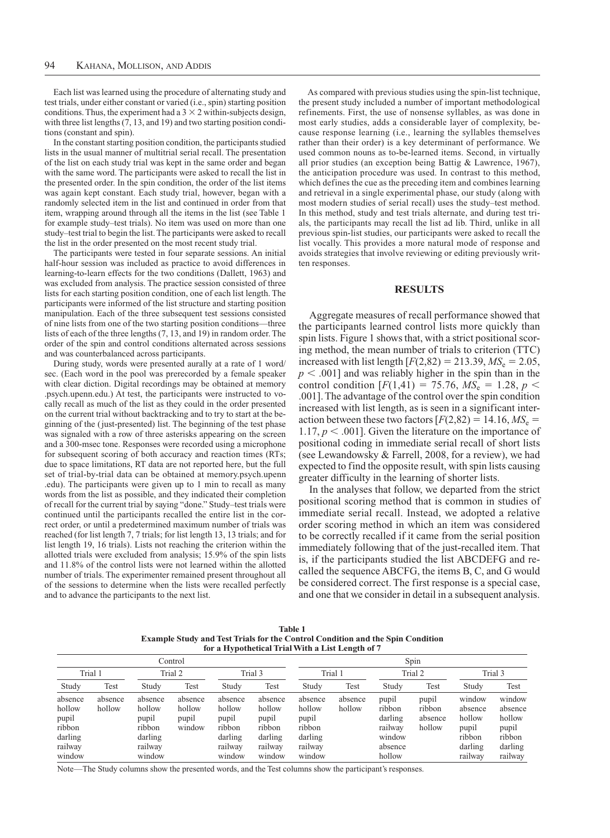Each list was learned using the procedure of alternating study and test trials, under either constant or varied (i.e., spin) starting position conditions. Thus, the experiment had a  $3 \times 2$  within-subjects design, with three list lengths (7, 13, and 19) and two starting position conditions (constant and spin).

In the constant starting position condition, the participants studied lists in the usual manner of multitrial serial recall. The presentation of the list on each study trial was kept in the same order and began with the same word. The participants were asked to recall the list in the presented order. In the spin condition, the order of the list items was again kept constant. Each study trial, however, began with a randomly selected item in the list and continued in order from that item, wrapping around through all the items in the list (see Table 1 for example study–test trials). No item was used on more than one study–test trial to begin the list. The participants were asked to recall the list in the order presented on the most recent study trial.

The participants were tested in four separate sessions. An initial half-hour session was included as practice to avoid differences in learning-to-learn effects for the two conditions (Dallett, 1963) and was excluded from analysis. The practice session consisted of three lists for each starting position condition, one of each list length. The participants were informed of the list structure and starting position manipulation. Each of the three subsequent test sessions consisted of nine lists from one of the two starting position conditions—three lists of each of the three lengths (7, 13, and 19) in random order. The order of the spin and control conditions alternated across sessions and was counterbalanced across participants.

During study, words were presented aurally at a rate of 1 word/ sec. (Each word in the pool was prerecorded by a female speaker with clear diction. Digital recordings may be obtained at memory .psych.upenn.edu.) At test, the participants were instructed to vocally recall as much of the list as they could in the order presented on the current trial without backtracking and to try to start at the beginning of the (just-presented) list. The beginning of the test phase was signaled with a row of three asterisks appearing on the screen and a 300-msec tone. Responses were recorded using a microphone for subsequent scoring of both accuracy and reaction times (RTs; due to space limitations, RT data are not reported here, but the full set of trial-by-trial data can be obtained at memory.psych.upenn .edu). The participants were given up to 1 min to recall as many words from the list as possible, and they indicated their completion of recall for the current trial by saying "done." Study–test trials were continued until the participants recalled the entire list in the correct order, or until a predetermined maximum number of trials was reached (for list length 7, 7 trials; for list length 13, 13 trials; and for list length 19, 16 trials). Lists not reaching the criterion within the allotted trials were excluded from analysis; 15.9% of the spin lists and 11.8% of the control lists were not learned within the allotted number of trials. The experimenter remained present throughout all of the sessions to determine when the lists were recalled perfectly and to advance the participants to the next list.

As compared with previous studies using the spin-list technique, the present study included a number of important methodological refinements. First, the use of nonsense syllables, as was done in most early studies, adds a considerable layer of complexity, because response learning (i.e., learning the syllables themselves rather than their order) is a key determinant of performance. We used common nouns as to-be-learned items. Second, in virtually all prior studies (an exception being Battig & Lawrence, 1967), the anticipation procedure was used. In contrast to this method, which defines the cue as the preceding item and combines learning and retrieval in a single experimental phase, our study (along with most modern studies of serial recall) uses the study–test method. In this method, study and test trials alternate, and during test trials, the participants may recall the list ad lib. Third, unlike in all previous spin-list studies, our participants were asked to recall the list vocally. This provides a more natural mode of response and avoids strategies that involve reviewing or editing previously written responses.

### **Results**

Aggregate measures of recall performance showed that the participants learned control lists more quickly than spin lists. Figure 1 shows that, with a strict positional scoring method, the mean number of trials to criterion (TTC) increased with list length  $[F(2,82) = 213.39, MS_e = 2.05,$  $p < .001$ ] and was reliably higher in the spin than in the control condition  $[F(1,41) = 75.76, MS_e = 1.28, p <$ .001]. The advantage of the control over the spin condition increased with list length, as is seen in a significant interaction between these two factors  $[F(2,82) = 14.16, MS_e =$ 1.17,  $p < .001$ . Given the literature on the importance of positional coding in immediate serial recall of short lists (see Lewandowsky & Farrell, 2008, for a review), we had expected to find the opposite result, with spin lists causing greater difficulty in the learning of shorter lists.

In the analyses that follow, we departed from the strict positional scoring method that is common in studies of immediate serial recall. Instead, we adopted a relative order scoring method in which an item was considered to be correctly recalled if it came from the serial position immediately following that of the just-recalled item. That is, if the participants studied the list ABCDEFG and recalled the sequence ABCFG, the items B, C, and G would be considered correct. The first response is a special case, and one that we consider in detail in a subsequent analysis.

**Table 1 Example Study and Test Trials for the Control Condition and the Spin Condition for a Hypothetical Trial With a List Length of 7**

| Control                                                              |                   |                                                                      |                                      |                                                                      |                                                                      | Spin                                                                 |                   |                                                                      |                                      |                                                                      |                                                                      |
|----------------------------------------------------------------------|-------------------|----------------------------------------------------------------------|--------------------------------------|----------------------------------------------------------------------|----------------------------------------------------------------------|----------------------------------------------------------------------|-------------------|----------------------------------------------------------------------|--------------------------------------|----------------------------------------------------------------------|----------------------------------------------------------------------|
| Trial 1                                                              |                   | Trial 2                                                              |                                      | Trial 3                                                              |                                                                      | Trial 1                                                              |                   | Trial 2                                                              |                                      | Trial 3                                                              |                                                                      |
| Study                                                                | Test              | Study                                                                | Test                                 | Study                                                                | Test                                                                 | Study                                                                | Test              | Study                                                                | Test                                 | Study                                                                | Test                                                                 |
| absence<br>hollow<br>pupil<br>ribbon<br>darling<br>railway<br>window | absence<br>hollow | absence<br>hollow<br>pupil<br>ribbon<br>darling<br>railway<br>window | absence<br>hollow<br>pupil<br>window | absence<br>hollow<br>pupil<br>ribbon<br>darling<br>railway<br>window | absence<br>hollow<br>pupil<br>ribbon<br>darling<br>railway<br>window | absence<br>hollow<br>pupil<br>ribbon<br>darling<br>railway<br>window | absence<br>hollow | pupil<br>ribbon<br>darling<br>railway<br>window<br>absence<br>hollow | pupil<br>ribbon<br>absence<br>hollow | window<br>absence<br>hollow<br>pupil<br>ribbon<br>darling<br>railway | window<br>absence<br>hollow<br>pupil<br>ribbon<br>darling<br>railway |

Note—The Study columns show the presented words, and the Test columns show the participant's responses.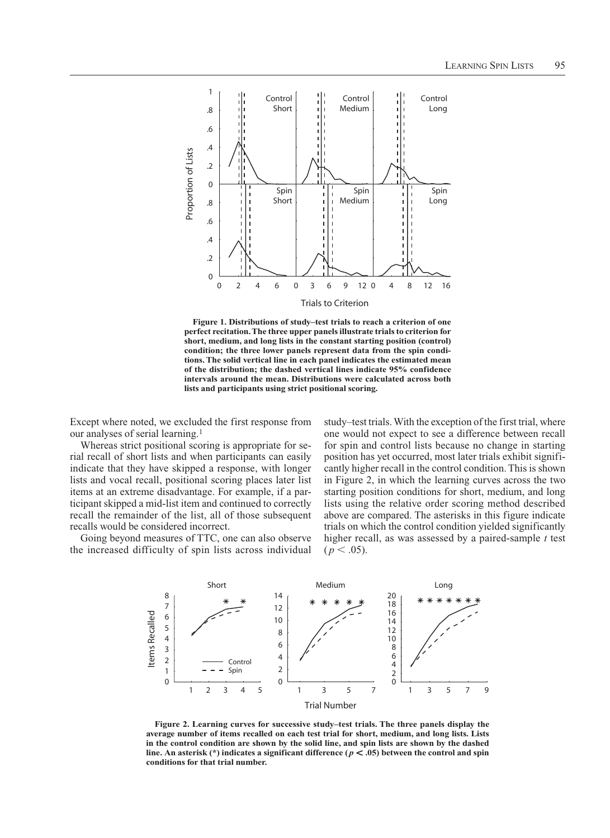

**Figure 1. Distributions of study–test trials to reach a criterion of one perfect recitation. The three upper panels illustrate trials to criterion for short, medium, and long lists in the constant starting position (control) condition; the three lower panels represent data from the spin conditions. The solid vertical line in each panel indicates the estimated mean of the distribution; the dashed vertical lines indicate 95% confidence intervals around the mean. Distributions were calculated across both lists and participants using strict positional scoring.**

Except where noted, we excluded the first response from our analyses of serial learning.1

Whereas strict positional scoring is appropriate for serial recall of short lists and when participants can easily indicate that they have skipped a response, with longer lists and vocal recall, positional scoring places later list items at an extreme disadvantage. For example, if a participant skipped a mid-list item and continued to correctly recall the remainder of the list, all of those subsequent recalls would be considered incorrect.

Going beyond measures of TTC, one can also observe the increased difficulty of spin lists across individual

study–test trials. With the exception of the first trial, where one would not expect to see a difference between recall for spin and control lists because no change in starting position has yet occurred, most later trials exhibit significantly higher recall in the control condition. This is shown in Figure 2, in which the learning curves across the two starting position conditions for short, medium, and long lists using the relative order scoring method described above are compared. The asterisks in this figure indicate trials on which the control condition yielded significantly higher recall, as was assessed by a paired-sample *t* test  $(p < .05)$ .



**Figure 2. Learning curves for successive study–test trials. The three panels display the average number of items recalled on each test trial for short, medium, and long lists. Lists in the control condition are shown by the solid line, and spin lists are shown by the dashed**  line. An asterisk (\*) indicates a significant difference ( $p < .05$ ) between the control and spin **conditions for that trial number.**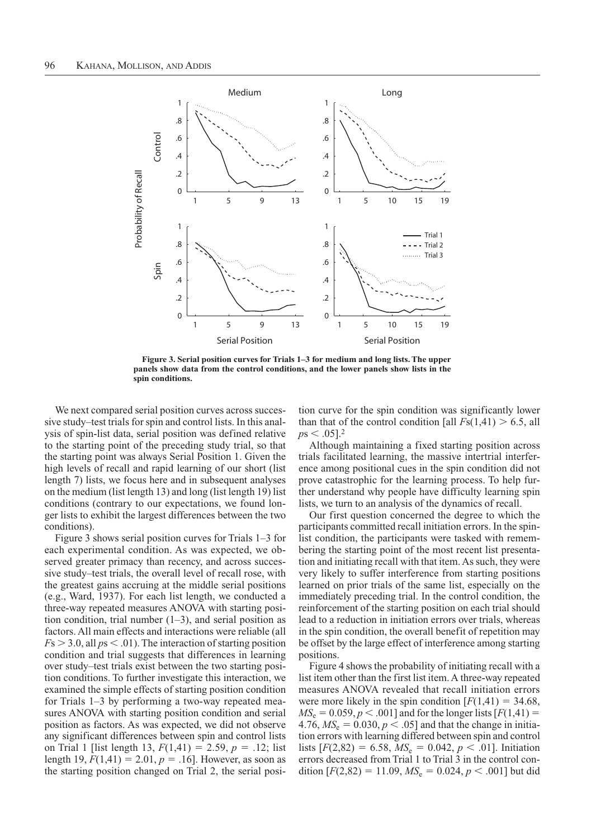

**Figure 3. Serial position curves for Trials 1–3 for medium and long lists. The upper panels show data from the control conditions, and the lower panels show lists in the spin conditions.**

We next compared serial position curves across successive study–test trials for spin and control lists. In this analysis of spin-list data, serial position was defined relative to the starting point of the preceding study trial, so that the starting point was always Serial Position 1. Given the high levels of recall and rapid learning of our short (list length 7) lists, we focus here and in subsequent analyses on the medium (list length 13) and long (list length 19) list conditions (contrary to our expectations, we found longer lists to exhibit the largest differences between the two conditions).

Figure 3 shows serial position curves for Trials 1–3 for each experimental condition. As was expected, we observed greater primacy than recency, and across successive study–test trials, the overall level of recall rose, with the greatest gains accruing at the middle serial positions (e.g., Ward, 1937). For each list length, we conducted a three-way repeated measures ANOVA with starting position condition, trial number  $(1-3)$ , and serial position as factors. All main effects and interactions were reliable (all  $F_s > 3.0$ , all  $ps < .01$ ). The interaction of starting position condition and trial suggests that differences in learning over study–test trials exist between the two starting position conditions. To further investigate this interaction, we examined the simple effects of starting position condition for Trials 1–3 by performing a two-way repeated measures ANOVA with starting position condition and serial position as factors. As was expected, we did not observe any significant differences between spin and control lists on Trial 1 [list length 13,  $F(1,41) = 2.59$ ,  $p = .12$ ; list length 19,  $F(1,41) = 2.01$ ,  $p = .16$ ]. However, as soon as the starting position changed on Trial 2, the serial posi-

tion curve for the spin condition was significantly lower than that of the control condition [all  $Fs(1,41) > 6.5$ , all  $p s < .05$ ].<sup>2</sup>

Although maintaining a fixed starting position across trials facilitated learning, the massive intertrial interference among positional cues in the spin condition did not prove catastrophic for the learning process. To help further understand why people have difficulty learning spin lists, we turn to an analysis of the dynamics of recall.

Our first question concerned the degree to which the participants committed recall initiation errors. In the spinlist condition, the participants were tasked with remembering the starting point of the most recent list presentation and initiating recall with that item. As such, they were very likely to suffer interference from starting positions learned on prior trials of the same list, especially on the immediately preceding trial. In the control condition, the reinforcement of the starting position on each trial should lead to a reduction in initiation errors over trials, whereas in the spin condition, the overall benefit of repetition may be offset by the large effect of interference among starting positions.

Figure 4 shows the probability of initiating recall with a list item other than the first list item. A three-way repeated measures ANOVA revealed that recall initiation errors were more likely in the spin condition  $[F(1,41) = 34.68]$ ,  $MS_e = 0.059, p < .001$ ] and for the longer lists  $[F(1,41) =$ 4.76,  $MS_e = 0.030, p < .05$ ] and that the change in initiation errors with learning differed between spin and control lists  $[F(2,82) = 6.58, MS_e = 0.042, p < .01]$ . Initiation errors decreased from Trial 1 to Trial 3 in the control condition  $[F(2,82) = 11.09, MS_e = 0.024, p < .001]$  but did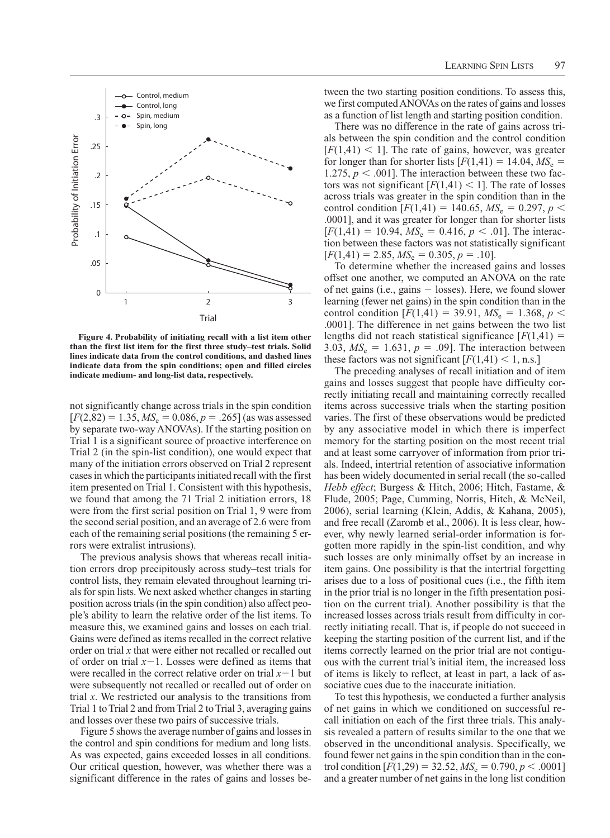

**Figure 4. Probability of initiating recall with a list item other than the first list item for the first three study–test trials. Solid lines indicate data from the control conditions, and dashed lines indicate data from the spin conditions; open and filled circles indicate medium- and long-list data, respectively.**

not significantly change across trials in the spin condition  $[F(2,82) = 1.35, MS<sub>e</sub> = 0.086, p = .265]$  (as was assessed by separate two-way ANOVAs). If the starting position on Trial 1 is a significant source of proactive interference on Trial 2 (in the spin-list condition), one would expect that many of the initiation errors observed on Trial 2 represent cases in which the participants initiated recall with the first item presented on Trial 1. Consistent with this hypothesis, we found that among the 71 Trial 2 initiation errors, 18 were from the first serial position on Trial 1, 9 were from the second serial position, and an average of 2.6 were from each of the remaining serial positions (the remaining 5 errors were extralist intrusions).

The previous analysis shows that whereas recall initiation errors drop precipitously across study–test trials for control lists, they remain elevated throughout learning trials for spin lists. We next asked whether changes in starting position across trials (in the spin condition) also affect people's ability to learn the relative order of the list items. To measure this, we examined gains and losses on each trial. Gains were defined as items recalled in the correct relative order on trial *x* that were either not recalled or recalled out of order on trial  $x-1$ . Losses were defined as items that were recalled in the correct relative order on trial  $x-1$  but were subsequently not recalled or recalled out of order on trial *x*. We restricted our analysis to the transitions from Trial 1 to Trial 2 and from Trial 2 to Trial 3, averaging gains and losses over these two pairs of successive trials.

Figure 5 shows the average number of gains and losses in the control and spin conditions for medium and long lists. As was expected, gains exceeded losses in all conditions. Our critical question, however, was whether there was a significant difference in the rates of gains and losses be-

tween the two starting position conditions. To assess this, we first computed ANOVAs on the rates of gains and losses as a function of list length and starting position condition.

There was no difference in the rate of gains across trials between the spin condition and the control condition  $[F(1,41)$  < 1]. The rate of gains, however, was greater for longer than for shorter lists  $[F(1,41) = 14.04, MS_e =$ 1.275,  $p < .001$ ]. The interaction between these two factors was not significant  $[F(1,41) < 1]$ . The rate of losses across trials was greater in the spin condition than in the control condition  $[F(1,41) = 140.65, MS<sub>e</sub> = 0.297, p <$ .0001], and it was greater for longer than for shorter lists  $[F(1,41) = 10.94, MS<sub>e</sub> = 0.416, p < .01]$ . The interaction between these factors was not statistically significant  $[F(1,41) = 2.85, MS_e = 0.305, p = .10].$ 

To determine whether the increased gains and losses offset one another, we computed an ANOVA on the rate of net gains (i.e., gains  $-$  losses). Here, we found slower learning (fewer net gains) in the spin condition than in the control condition  $[F(1,41) = 39.91, M S<sub>e</sub> = 1.368, p <$ .0001]. The difference in net gains between the two list lengths did not reach statistical significance  $[F(1,41) =$ 3.03,  $MS_e = 1.631$ ,  $p = .09$ ]. The interaction between these factors was not significant  $[F(1,41) < 1, n.s.]$ 

The preceding analyses of recall initiation and of item gains and losses suggest that people have difficulty correctly initiating recall and maintaining correctly recalled items across successive trials when the starting position varies. The first of these observations would be predicted by any associative model in which there is imperfect memory for the starting position on the most recent trial and at least some carryover of information from prior trials. Indeed, intertrial retention of associative information has been widely documented in serial recall (the so-called *Hebb effect*; Burgess & Hitch, 2006; Hitch, Fastame, & Flude, 2005; Page, Cumming, Norris, Hitch, & McNeil, 2006), serial learning (Klein, Addis, & Kahana, 2005), and free recall (Zaromb et al., 2006). It is less clear, however, why newly learned serial-order information is forgotten more rapidly in the spin-list condition, and why such losses are only minimally offset by an increase in item gains. One possibility is that the intertrial forgetting arises due to a loss of positional cues (i.e., the fifth item in the prior trial is no longer in the fifth presentation position on the current trial). Another possibility is that the increased losses across trials result from difficulty in correctly initiating recall. That is, if people do not succeed in keeping the starting position of the current list, and if the items correctly learned on the prior trial are not contiguous with the current trial's initial item, the increased loss of items is likely to reflect, at least in part, a lack of associative cues due to the inaccurate initiation.

To test this hypothesis, we conducted a further analysis of net gains in which we conditioned on successful recall initiation on each of the first three trials. This analysis revealed a pattern of results similar to the one that we observed in the unconditional analysis. Specifically, we found fewer net gains in the spin condition than in the control condition  $[F(1,29) = 32.52, MS_e = 0.790, p < .0001]$ and a greater number of net gains in the long list condition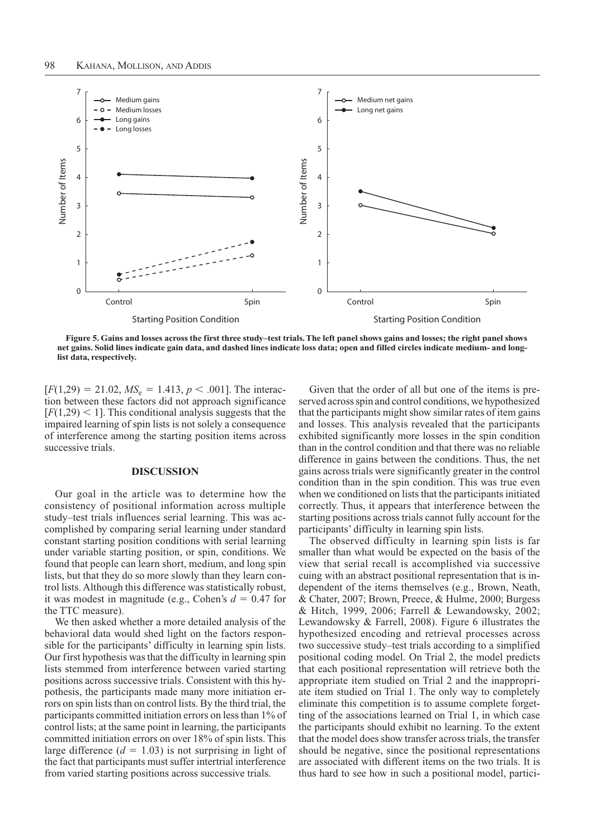

**Figure 5. Gains and losses across the first three study–test trials. The left panel shows gains and losses; the right panel shows net gains. Solid lines indicate gain data, and dashed lines indicate loss data; open and filled circles indicate medium- and longlist data, respectively.**

 $[F(1,29) = 21.02, M_s = 1.413, p < .001]$ . The interaction between these factors did not approach significance  $[F(1,29)$  < 1]. This conditional analysis suggests that the impaired learning of spin lists is not solely a consequence of interference among the starting position items across successive trials.

## **Discussion**

Our goal in the article was to determine how the consistency of positional information across multiple study–test trials influences serial learning. This was accomplished by comparing serial learning under standard constant starting position conditions with serial learning under variable starting position, or spin, conditions. We found that people can learn short, medium, and long spin lists, but that they do so more slowly than they learn control lists. Although this difference was statistically robust, it was modest in magnitude (e.g., Cohen's  $d = 0.47$  for the TTC measure).

We then asked whether a more detailed analysis of the behavioral data would shed light on the factors responsible for the participants' difficulty in learning spin lists. Our first hypothesis was that the difficulty in learning spin lists stemmed from interference between varied starting positions across successive trials. Consistent with this hypothesis, the participants made many more initiation errors on spin lists than on control lists. By the third trial, the participants committed initiation errors on less than 1% of control lists; at the same point in learning, the participants committed initiation errors on over 18% of spin lists. This large difference  $(d = 1.03)$  is not surprising in light of the fact that participants must suffer intertrial interference from varied starting positions across successive trials.

Given that the order of all but one of the items is preserved across spin and control conditions, we hypothesized that the participants might show similar rates of item gains and losses. This analysis revealed that the participants exhibited significantly more losses in the spin condition than in the control condition and that there was no reliable difference in gains between the conditions. Thus, the net gains across trials were significantly greater in the control condition than in the spin condition. This was true even when we conditioned on lists that the participants initiated correctly. Thus, it appears that interference between the starting positions across trials cannot fully account for the participants' difficulty in learning spin lists.

The observed difficulty in learning spin lists is far smaller than what would be expected on the basis of the view that serial recall is accomplished via successive cuing with an abstract positional representation that is independent of the items themselves (e.g., Brown, Neath, & Chater, 2007; Brown, Preece, & Hulme, 2000; Burgess & Hitch, 1999, 2006; Farrell & Lewandowsky, 2002; Lewandowsky & Farrell, 2008). Figure 6 illustrates the hypothesized encoding and retrieval processes across two successive study–test trials according to a simplified positional coding model. On Trial 2, the model predicts that each positional representation will retrieve both the appropriate item studied on Trial 2 and the inappropriate item studied on Trial 1. The only way to completely eliminate this competition is to assume complete forgetting of the associations learned on Trial 1, in which case the participants should exhibit no learning. To the extent that the model does show transfer across trials, the transfer should be negative, since the positional representations are associated with different items on the two trials. It is thus hard to see how in such a positional model, partici-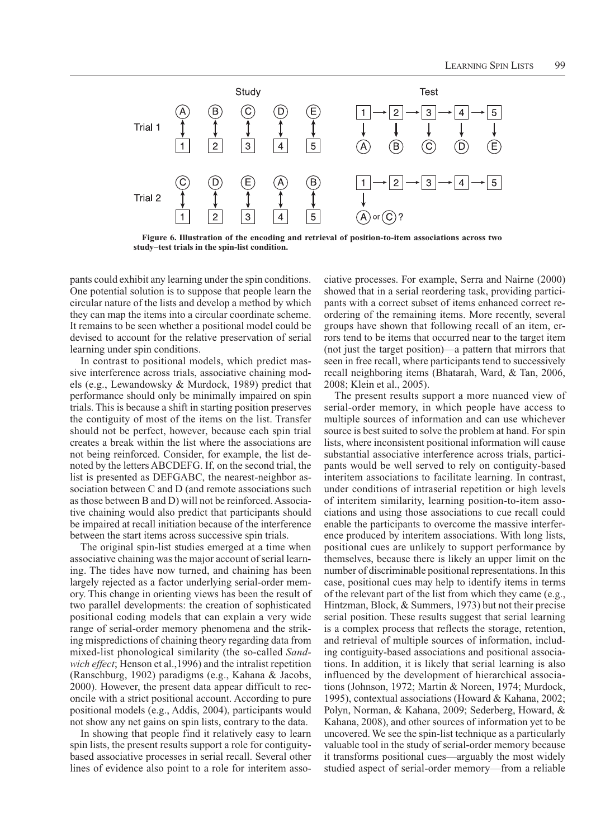

**Figure 6. Illustration of the encoding and retrieval of position-to-item associations across two study–test trials in the spin-list condition.**

pants could exhibit any learning under the spin conditions. One potential solution is to suppose that people learn the circular nature of the lists and develop a method by which they can map the items into a circular coordinate scheme. It remains to be seen whether a positional model could be devised to account for the relative preservation of serial learning under spin conditions.

In contrast to positional models, which predict massive interference across trials, associative chaining models (e.g., Lewandowsky & Murdock, 1989) predict that performance should only be minimally impaired on spin trials. This is because a shift in starting position preserves the contiguity of most of the items on the list. Transfer should not be perfect, however, because each spin trial creates a break within the list where the associations are not being reinforced. Consider, for example, the list denoted by the letters ABCDEFG. If, on the second trial, the list is presented as DEFGABC, the nearest-neighbor association between C and D (and remote associations such as those between B and D) will not be reinforced. Associative chaining would also predict that participants should be impaired at recall initiation because of the interference between the start items across successive spin trials.

The original spin-list studies emerged at a time when associative chaining was the major account of serial learning. The tides have now turned, and chaining has been largely rejected as a factor underlying serial-order memory. This change in orienting views has been the result of two parallel developments: the creation of sophisticated positional coding models that can explain a very wide range of serial-order memory phenomena and the striking mispredictions of chaining theory regarding data from mixed-list phonological similarity (the so-called *Sandwich effect*; Henson et al.,1996) and the intralist repetition (Ranschburg, 1902) paradigms (e.g., Kahana & Jacobs, 2000). However, the present data appear difficult to reconcile with a strict positional account. According to pure positional models (e.g., Addis, 2004), participants would not show any net gains on spin lists, contrary to the data.

In showing that people find it relatively easy to learn spin lists, the present results support a role for contiguitybased associative processes in serial recall. Several other lines of evidence also point to a role for interitem associative processes. For example, Serra and Nairne (2000) showed that in a serial reordering task, providing participants with a correct subset of items enhanced correct reordering of the remaining items. More recently, several groups have shown that following recall of an item, errors tend to be items that occurred near to the target item (not just the target position)—a pattern that mirrors that seen in free recall, where participants tend to successively recall neighboring items (Bhatarah, Ward, & Tan, 2006, 2008; Klein et al., 2005).

The present results support a more nuanced view of serial-order memory, in which people have access to multiple sources of information and can use whichever source is best suited to solve the problem at hand. For spin lists, where inconsistent positional information will cause substantial associative interference across trials, participants would be well served to rely on contiguity-based interitem associations to facilitate learning. In contrast, under conditions of intraserial repetition or high levels of interitem similarity, learning position-to-item associations and using those associations to cue recall could enable the participants to overcome the massive interference produced by interitem associations. With long lists, positional cues are unlikely to support performance by themselves, because there is likely an upper limit on the number of discriminable positional representations. In this case, positional cues may help to identify items in terms of the relevant part of the list from which they came (e.g., Hintzman, Block, & Summers, 1973) but not their precise serial position. These results suggest that serial learning is a complex process that reflects the storage, retention, and retrieval of multiple sources of information, including contiguity-based associations and positional associations. In addition, it is likely that serial learning is also influenced by the development of hierarchical associations (Johnson, 1972; Martin & Noreen, 1974; Murdock, 1995), contextual associations (Howard & Kahana, 2002; Polyn, Norman, & Kahana, 2009; Sederberg, Howard, & Kahana, 2008), and other sources of information yet to be uncovered. We see the spin-list technique as a particularly valuable tool in the study of serial-order memory because it transforms positional cues—arguably the most widely studied aspect of serial-order memory—from a reliable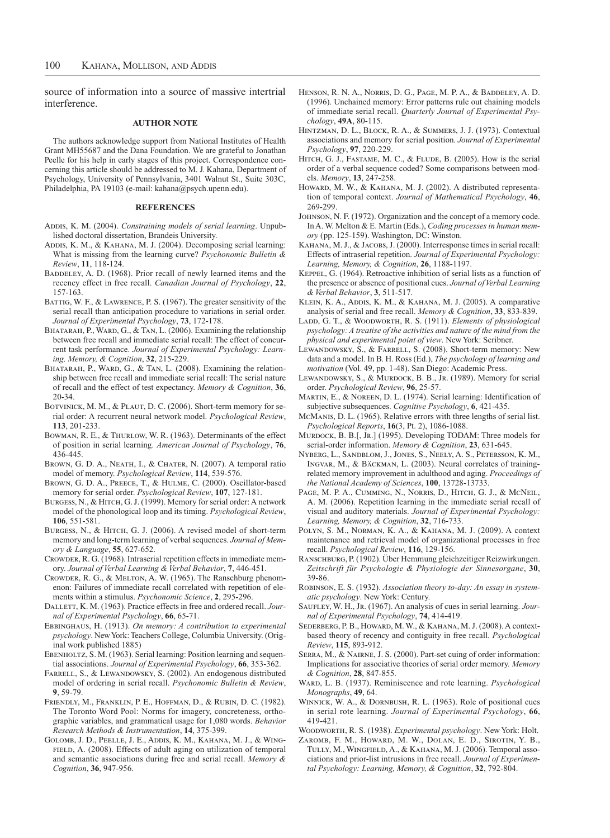source of information into a source of massive intertrial interference.

#### **Author Note**

The authors acknowledge support from National Institutes of Health Grant MH55687 and the Dana Foundation. We are grateful to Jonathan Peelle for his help in early stages of this project. Correspondence concerning this article should be addressed to M. J. Kahana, Department of Psychology, University of Pennsylvania, 3401 Walnut St., Suite 303C, Philadelphia, PA 19103 (e-mail: kahana@psych.upenn.edu).

#### **References**

- ADDIS, K. M. (2004). *Constraining models of serial learning*. Unpublished doctoral dissertation, Brandeis University.
- ADDIS, K. M., & KAHANA, M. J. (2004). Decomposing serial learning: What is missing from the learning curve? *Psychonomic Bulletin & Review*, **11**, 118-124.
- BADDELEY, A. D. (1968). Prior recall of newly learned items and the recency effect in free recall. *Canadian Journal of Psychology*, **22**, 157-163.
- BATTIG, W. F., & LAWRENCE, P. S. (1967). The greater sensitivity of the serial recall than anticipation procedure to variations in serial order. *Journal of Experimental Psychology*, **73**, 172-178.
- BHATARAH, P., WARD, G., & TAN, L. (2006). Examining the relationship between free recall and immediate serial recall: The effect of concurrent task performance. *Journal of Experimental Psychology: Learning, Memory, & Cognition*, **32**, 215-229.
- BHATARAH, P., WARD, G., & TAN, L. (2008). Examining the relationship between free recall and immediate serial recall: The serial nature of recall and the effect of test expectancy. *Memory & Cognition*, **36**, 20-34.
- BOTVINICK, M. M., & PLAUT, D. C. (2006). Short-term memory for serial order: A recurrent neural network model. *Psychological Review*, **113**, 201-233.
- Bowman, R. E., & Thurlow, W. R. (1963). Determinants of the effect of position in serial learning. *American Journal of Psychology*, **76**, 436-445.
- BROWN, G. D. A., NEATH, I., & CHATER, N. (2007). A temporal ratio model of memory. *Psychological Review*, **114**, 539-576.
- Brown, G. D. A., Preece, T., & Hulme, C. (2000). Oscillator-based memory for serial order. *Psychological Review*, **107**, 127-181.
- BURGESS, N., & HITCH, G. J. (1999). Memory for serial order: A network model of the phonological loop and its timing. *Psychological Review*, **106**, 551-581.
- BURGESS, N., & HITCH, G. J. (2006). A revised model of short-term memory and long-term learning of verbal sequences. *Journal of Memory & Language*, **55**, 627-652.
- Crowder, R. G. (1968). Intraserial repetition effects in immediate memory. *Journal of Verbal Learning & Verbal Behavior*, **7**, 446-451.
- CROWDER, R. G., & MELTON, A. W. (1965). The Ranschburg phenomenon: Failures of immediate recall correlated with repetition of elements within a stimulus. *Psychonomic Science*, **2**, 295-296.
- DALLETT, K. M. (1963). Practice effects in free and ordered recall. *Journal of Experimental Psychology*, **66**, 65-71.
- Ebbinghaus, H. (1913). *On memory: A contribution to experimental psychology*. New York: Teachers College, Columbia University. (Original work published 1885)
- EBENHOLTZ, S. M. (1963). Serial learning: Position learning and sequential associations. *Journal of Experimental Psychology*, **66**, 353-362.
- FARRELL, S., & LEWANDOWSKY, S. (2002). An endogenous distributed model of ordering in serial recall. *Psychonomic Bulletin & Review*, **9**, 59-79.
- Friendly, M., Franklin, P. E., Hoffman, D., & Rubin, D. C. (1982). The Toronto Word Pool: Norms for imagery, concreteness, orthographic variables, and grammatical usage for 1,080 words. *Behavior Research Methods & Instrumentation*, **14**, 375-399.
- Golomb, J. D., Peelle, J. E., Addis, K. M., Kahana, M. J., & Wing-FIELD, A. (2008). Effects of adult aging on utilization of temporal and semantic associations during free and serial recall. *Memory & Cognition*, **36**, 947-956.
- Henson, R. N. A., Norris, D. G., Page, M. P. A., & Baddeley, A. D. (1996). Unchained memory: Error patterns rule out chaining models of immediate serial recall. *Quarterly Journal of Experimental Psychology*, **49A**, 80-115.
- Hintzman, D. L., Block, R. A., & Summers, J. J. (1973). Contextual associations and memory for serial position. *Journal of Experimental Psychology*, **97**, 220-229.
- HITCH, G. J., FASTAME, M. C., & FLUDE, B. (2005). How is the serial order of a verbal sequence coded? Some comparisons between models. *Memory*, **13**, 247-258.
- HOWARD, M. W., & KAHANA, M. J. (2002). A distributed representation of temporal context. *Journal of Mathematical Psychology*, **46**, 269-299.
- Johnson, N. F. (1972). Organization and the concept of a memory code. In A. W. Melton & E. Martin (Eds.), *Coding processes in human memory* (pp. 125-159). Washington, DC: Winston.
- KAHANA, M. J., & JACOBS, J. (2000). Interresponse times in serial recall: Effects of intraserial repetition. *Journal of Experimental Psychology: Learning, Memory, & Cognition*, **26**, 1188-1197.
- KEPPEL, G. (1964). Retroactive inhibition of serial lists as a function of the presence or absence of positional cues. *Journal of Verbal Learning & Verbal Behavior*, **3**, 511-517.
- Klein, K. A., Addis, K. M., & Kahana, M. J. (2005). A comparative analysis of serial and free recall. *Memory & Cognition*, **33**, 833-839.
- LADD, G. T., & WOODWORTH, R. S. (1911). *Elements of physiological psychology: A treatise of the activities and nature of the mind from the physical and experimental point of view*. New York: Scribner.
- LEWANDOWSKY, S., & FARRELL, S. (2008). Short-term memory: New data and a model. In B. H. Ross (Ed.), *The psychology of learning and motivation* (Vol. 49, pp. 1-48). San Diego: Academic Press.
- LEWANDOWSKY, S., & MURDOCK, B. B., Jr. (1989). Memory for serial order. *Psychological Review*, **96**, 25-57.
- Martin, E., & Noreen, D. L. (1974). Serial learning: Identification of subjective subsequences. *Cognitive Psychology*, **6**, 421-435.
- McManis, D. L. (1965). Relative errors with three lengths of serial list. *Psychological Reports*, **16**(3, Pt. 2), 1086-1088.
- MURDOCK, B. B.[, JR.] (1995). Developing TODAM: Three models for serial-order information. *Memory & Cognition*, **23**, 631-645.
- Nyberg, L., Sandblom, J., Jones, S., Neely, A. S., Petersson, K. M., Ingvar, M., & Bäckman, L. (2003). Neural correlates of trainingrelated memory improvement in adulthood and aging. *Proceedings of the National Academy of Sciences*, **100**, 13728-13733.
- PAGE, M. P. A., CUMMING, N., NORRIS, D., HITCH, G. J., & MCNEIL, A. M. (2006). Repetition learning in the immediate serial recall of visual and auditory materials. *Journal of Experimental Psychology: Learning, Memory, & Cognition*, **32**, 716-733.
- Polyn, S. M., Norman, K. A., & Kahana, M. J. (2009). A context maintenance and retrieval model of organizational processes in free recall. *Psychological Review*, **116**, 129-156.
- RANSCHBURG, P. (1902). Über Hemmung gleichzeitiger Reizwirkungen. *Zeitschrift für Psychologie & Physiologie der Sinnesorgane*, **30**, 39-86.
- Robinson, E. S. (1932). *Association theory to-day: An essay in systematic psychology*. New York: Century.
- SAUFLEY, W. H., Jr. (1967). An analysis of cues in serial learning. *Journal of Experimental Psychology*, **74**, 414-419.
- Sederberg, P. B., Howard, M. W., & Kahana, M. J. (2008). A contextbased theory of recency and contiguity in free recall. *Psychological Review*, **115**, 893-912.
- Serra, M., & Nairne, J. S. (2000). Part-set cuing of order information: Implications for associative theories of serial order memory. *Memory & Cognition*, **28**, 847-855.
- WARD, L. B. (1937). Reminiscence and rote learning. *Psychological Monographs*, **49**, 64.
- Winnick, W. A., & Dornbush, R. L. (1963). Role of positional cues in serial rote learning. *Journal of Experimental Psychology*, **66**, 419-421.
- Woodworth, R. S. (1938). *Experimental psychology*. New York: Holt.
- Zaromb, F. M., Howard, M. W., Dolan, E. D., Sirotin, Y. B., Tully, M., Wingfield, A., & Kahana, M. J. (2006). Temporal associations and prior-list intrusions in free recall. *Journal of Experimental Psychology: Learning, Memory, & Cognition*, **32**, 792-804.